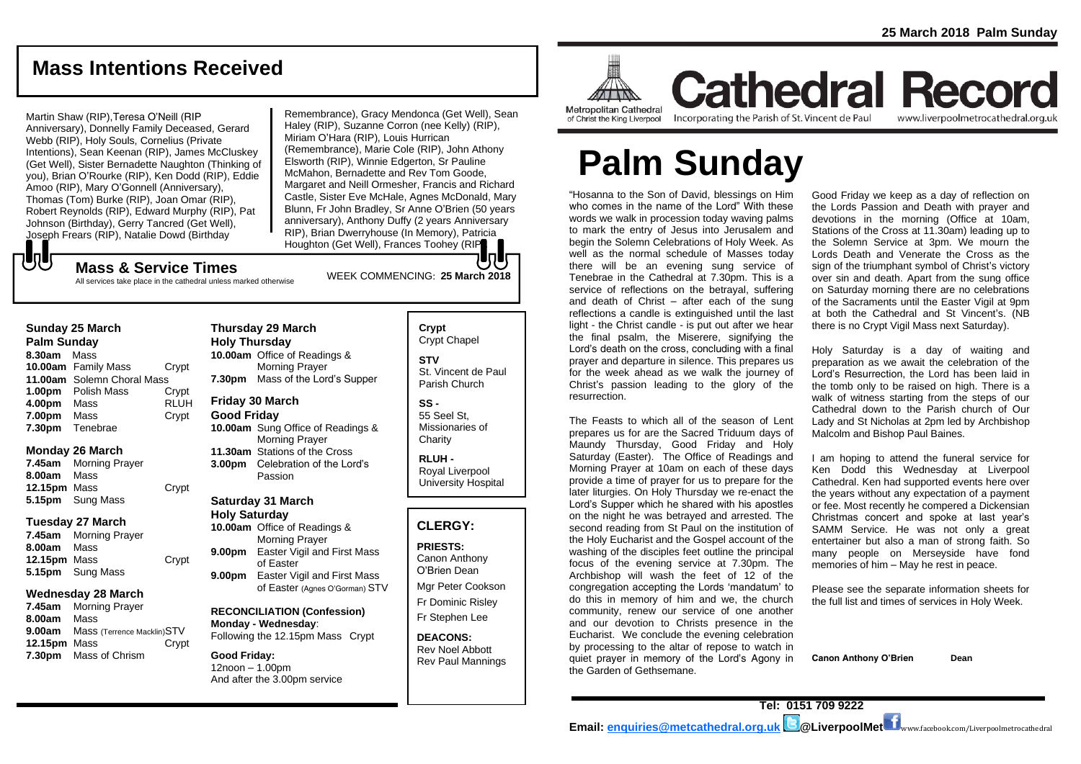www.liverpoolmetrocathedral.org.uk

## **Mass Intentions Received**

#### Martin Shaw (RIP),Teresa O'Neill (RIP Anniversary), Donnelly Family Deceased, Gerard Webb (RIP), Holy Souls, Cornelius (Private Intentions), Sean Keenan (RIP), James McCluskey (Get Well), Sister Bernadette Naughton (Thinking of you), Brian O'Rourke (RIP), Ken Dodd (RIP), Eddie Amoo (RIP), Mary O'Gonnell (Anniversary), Thomas (Tom) Burke (RIP), Joan Omar (RIP), Robert Reynolds (RIP), Edward Murphy (RIP), Pat Johnson (Birthday), Gerry Tancred (Get Well), Joseph Frears (RIP), Natalie Dowd (Birthday

Remembrance), Gracy Mendonca (Get Well), Sean Haley (RIP), Suzanne Corron (nee Kelly) (RIP), Miriam O'Hara (RIP), Louis Hurrican (Remembrance), Marie Cole (RIP), John Athony Elsworth (RIP), Winnie Edgerton, Sr Pauline McMahon, Bernadette and Rev Tom Goode, Margaret and Neill Ormesher, Francis and Richard Castle, Sister Eve McHale, Agnes McDonald, Mary Blunn, Fr John Bradley, Sr Anne O'Brien (50 years anniversary), Anthony Duffy (2 years Anniversary RIP), Brian Dwerryhouse (In Memory), Patricia Houghton (Get Well), Frances Toohey (RIP).

## WEEK COMMENCING: **<sup>25</sup> March <sup>2018</sup> Mass & Service Times**

All services take place in the cathedral unless marked otherwise

#### **Sunday 25 March**

もし

**Palm Sunday 8.30am** Mass **10.00am** Family Mass Crypt **11.00am** Solemn Choral Mass **1.00pm** Polish Mass Crypt<br>**4.00pm** Mass RLUH **4.00pm** Mass **7.00pm** Mass Crypt **7.30pm** Tenebrae

#### **Monday 26 March**

**7.45am** Morning Prayer **8.00am** Mass **12.15pm** Mass Crypt **5.15pm** Sung Mass

#### **Tuesday 27 March**

**7.45am** Morning Prayer **8.00am** Mass **12.15pm** Mass Crypt **5.15pm** Sung Mass

#### **Wednesday 28 March**

**7.45am** Morning Prayer **8.00am** Mass **9.00am** Mass (Terrence Macklin)STV **12.15pm** Mass Crypt **7.30pm** Mass of Chrism

#### **Thursday 29 March Holy Thursday 10.00am** Office of Readings &

Morning Prayer **7.30pm** Mass of the Lord's Supper

#### **Friday 30 March Good Friday**

**10.00am** Sung Office of Readings & Morning Prayer **11.30am** Stations of the Cross **3.00pm** Celebration of the Lord's Passion

## **Saturday 31 March**

**Holy Saturday 10.00am** Office of Readings & Morning Prayer **9.00pm** Easter Vigil and First Mass of Easter **9.00pm** Easter Vigil and First Mass of Easter (Agnes O'Gorman) STV

**RECONCILIATION (Confession) Monday - Wednesday**: Following the 12.15pm Mass Crypt

**Good Friday:** 12noon – 1.00pm And after the 3.00pm service

## **Crypt**  Crypt Chapel

**STV** St. Vincent de Paul Parish Church

#### **SS -** 55 Seel St, Missionaries of

**Charity RLUH -**

Royal Liverpool University Hospital

#### **CLERGY:**

**PRIESTS:** Canon Anthony O'Brien *Dean*

Mgr Peter Cookson Fr Dominic Risley Fr Stephen Lee

**DEACONS:** Rev Noel Abbott Rev Paul Mannings



**Cathedral Record** of Christ the King Liverpool

Incorporating the Parish of St. Vincent de Paul

# **Palm Sunday**

"Hosanna to the Son of David, blessings on Him who comes in the name of the Lord" With these words we walk in procession today waving palms to mark the entry of Jesus into Jerusalem and begin the Solemn Celebrations of Holy Week. As well as the normal schedule of Masses today there will be an evening sung service of Tenebrae in the Cathedral at 7.30pm. This is a service of reflections on the betrayal, suffering and death of Christ – after each of the sung reflections a candle is extinguished until the last light - the Christ candle - is put out after we hear the final psalm, the Miserere, signifying the Lord's death on the cross, concluding with a final prayer and departure in silence. This prepares us for the week ahead as we walk the journey of Christ's passion leading to the glory of the resurrection.

The Feasts to which all of the season of Lent prepares us for are the Sacred Triduum days of Maundy Thursday, Good Friday and Holy Saturday (Easter). The Office of Readings and Morning Prayer at 10am on each of these days provide a time of prayer for us to prepare for the later liturgies. On Holy Thursday we re-enact the Lord's Supper which he shared with his apostles on the night he was betrayed and arrested. The second reading from St Paul on the institution of the Holy Eucharist and the Gospel account of the washing of the disciples feet outline the principal focus of the evening service at 7.30pm. The Archbishop will wash the feet of 12 of the congregation accepting the Lords 'mandatum' to do this in memory of him and we, the church community, renew our service of one another and our devotion to Christs presence in the Eucharist. We conclude the evening celebration by processing to the altar of repose to watch in quiet prayer in memory of the Lord's Agony in the Garden of Gethsemane.

Good Friday we keep as a day of reflection on the Lords Passion and Death with prayer and devotions in the morning (Office at 10am, Stations of the Cross at 11.30am) leading up to the Solemn Service at 3pm. We mourn the Lords Death and Venerate the Cross as the sign of the triumphant symbol of Christ's victory over sin and death. Apart from the sung office on Saturday morning there are no celebrations of the Sacraments until the Easter Vigil at 9pm at both the Cathedral and St Vincent's. (NB there is no Crypt Vigil Mass next Saturday).

Holy Saturday is a day of waiting and preparation as we await the celebration of the Lord's Resurrection, the Lord has been laid in the tomb only to be raised on high. There is a walk of witness starting from the steps of our Cathedral down to the Parish church of Our Lady and St Nicholas at 2pm led by Archbishop Malcolm and Bishop Paul Baines.

I am hoping to attend the funeral service for Ken Dodd this Wednesday at Liverpool Cathedral. Ken had supported events here over the years without any expectation of a payment or fee. Most recently he compered a Dickensian Christmas concert and spoke at last year's SAMM Service. He was not only a great entertainer but also a man of strong faith. So many people on Merseyside have fond memories of him – May he rest in peace.

Please see the separate information sheets for the full list and times of services in Holy Week.

**Canon Anthony O'Brien Dean**